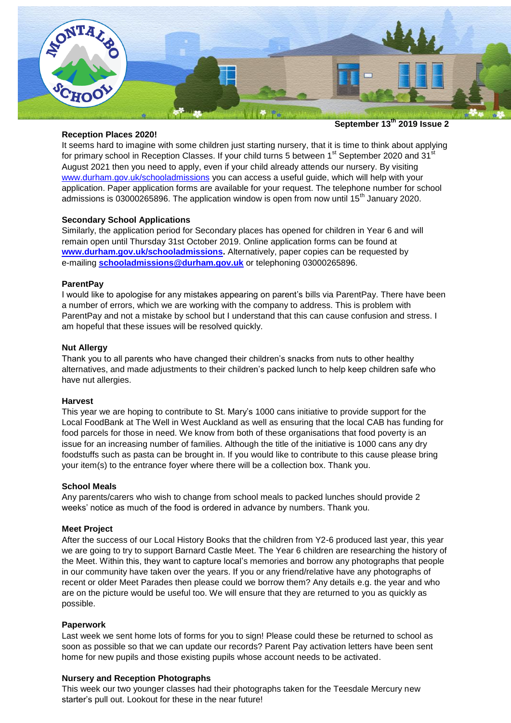

#### **Reception Places 2020!**

It seems hard to imagine with some children just starting nursery, that it is time to think about applying for primary school in Reception Classes. If your child turns 5 between 1<sup>st</sup> September 2020 and 31<sup>st</sup> August 2021 then you need to apply, even if your child already attends our nursery. By visiting [www.durham.gov.uk/schooladmissions](http://www.durham.gov.uk/schooladmissions) you can access a useful guide, which will help with your application. Paper application forms are available for your request. The telephone number for school admissions is 03000265896. The application window is open from now until 15<sup>th</sup> January 2020.

## **Secondary School Applications**

Similarly, the application period for Secondary places has opened for children in Year 6 and will remain open until Thursday 31st October 2019. Online application forms can be found at **[www.durham.gov.uk/schooladmissions.](http://www.durham.gov.uk/schooladmissions)** Alternatively, paper copies can be requested by e-mailing **[schooladmissions@durham.gov.uk](mailto:schooladmissions@durham.gov.uk)** or telephoning 03000265896.

## **ParentPay**

I would like to apologise for any mistakes appearing on parent's bills via ParentPay. There have been a number of errors, which we are working with the company to address. This is problem with ParentPay and not a mistake by school but I understand that this can cause confusion and stress. I am hopeful that these issues will be resolved quickly.

### **Nut Allergy**

Thank you to all parents who have changed their children's snacks from nuts to other healthy alternatives, and made adjustments to their children's packed lunch to help keep children safe who have nut allergies.

## **Harvest**

This year we are hoping to contribute to St. Mary's 1000 cans initiative to provide support for the Local FoodBank at The Well in West Auckland as well as ensuring that the local CAB has funding for food parcels for those in need. We know from both of these organisations that food poverty is an issue for an increasing number of families. Although the title of the initiative is 1000 cans any dry foodstuffs such as pasta can be brought in. If you would like to contribute to this cause please bring your item(s) to the entrance foyer where there will be a collection box. Thank you.

## **School Meals**

Any parents/carers who wish to change from school meals to packed lunches should provide 2 weeks' notice as much of the food is ordered in advance by numbers. Thank you.

## **Meet Project**

After the success of our Local History Books that the children from Y2-6 produced last year, this year we are going to try to support Barnard Castle Meet. The Year 6 children are researching the history of the Meet. Within this, they want to capture local's memories and borrow any photographs that people in our community have taken over the years. If you or any friend/relative have any photographs of recent or older Meet Parades then please could we borrow them? Any details e.g. the year and who are on the picture would be useful too. We will ensure that they are returned to you as quickly as possible.

## **Paperwork**

Last week we sent home lots of forms for you to sign! Please could these be returned to school as soon as possible so that we can update our records? Parent Pay activation letters have been sent home for new pupils and those existing pupils whose account needs to be activated.

## **Nursery and Reception Photographs**

This week our two younger classes had their photographs taken for the Teesdale Mercury new starter's pull out. Lookout for these in the near future!